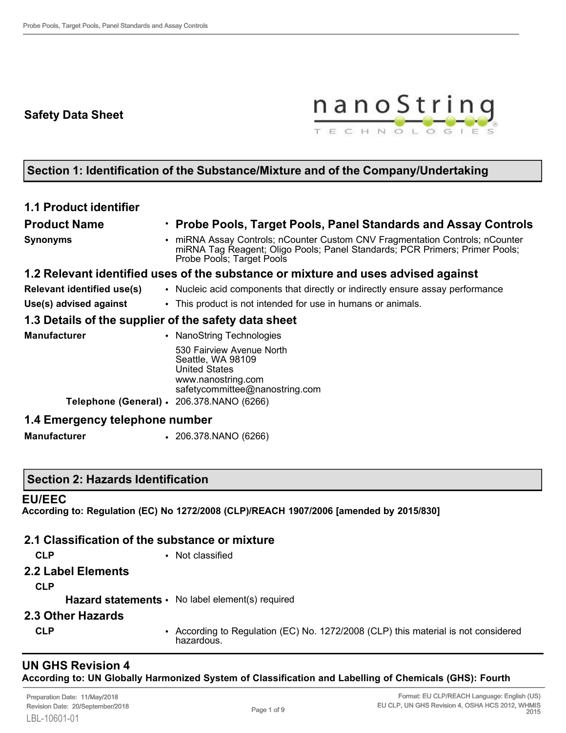# **Safety Data Sheet**



# **Section 1: Identification of the Substance/Mixture and of the Company/Undertaking**

## **1.1 Product identifier**

## **Product Name** • **Probe Pools, Target Pools, Panel Standards and Assay Controls**

**Synonyms** • miRNA Assay Controls; nCounter Custom CNV Fragmentation Controls; nCounter miRNA Tag Reagent; Oligo Pools; Panel Standards; PCR Primers; Primer Pools; Probe Pools; Target Pools

#### **1.2 Relevant identified uses of the substance or mixture and uses advised against**

- **Relevant identified use(s)** Nucleic acid components that directly or indirectly ensure assay performance
- **Use(s) advised against** This product is not intended for use in humans or animals.

#### **1.3 Details of the supplier of the safety data sheet**

| <b>Manufacturer</b>                       | • NanoString Technologies                                                                    |
|-------------------------------------------|----------------------------------------------------------------------------------------------|
|                                           | 530 Fairview Avenue North<br>Seattle, WA 98109<br><b>United States</b><br>www.nanostring.com |
|                                           | safetycommittee@nanostring.com                                                               |
| Telephone (General) · 206.378.NANO (6266) |                                                                                              |
| <u> 1.4 Emergency telephone number</u>    |                                                                                              |

#### **1.4 Emergency telephone number**

**Manufacturer** • 206.378.NANO (6266)

#### **Section 2: Hazards Identification**

#### **EU/EEC**

**According to: Regulation (EC) No 1272/2008 (CLP)/REACH 1907/2006 [amended by 2015/830]**

|                    | 2.1 Classification of the substance or mixture                                                   |
|--------------------|--------------------------------------------------------------------------------------------------|
| <b>CLP</b>         | • Not classified                                                                                 |
| 2.2 Label Elements |                                                                                                  |
| <b>CLP</b>         |                                                                                                  |
|                    | <b>Hazard statements •</b> No label element(s) required                                          |
| 2.3 Other Hazards  |                                                                                                  |
| <b>CLP</b>         | • According to Regulation (EC) No. 1272/2008 (CLP) this material is not considered<br>hazardous. |

### **UN GHS Revision 4 According to: UN Globally Harmonized System of Classification and Labelling of Chemicals (GHS): Fourth**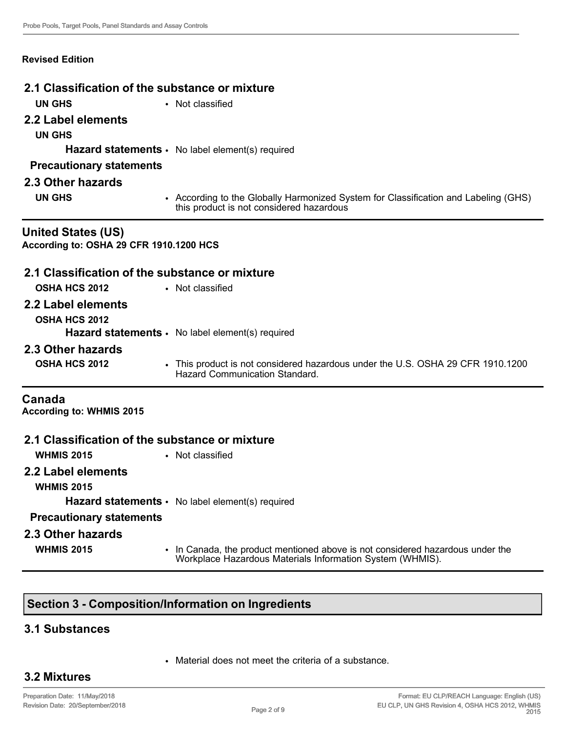#### **Revised Edition**

# **2.1 Classification of the substance or mixture UN GHS** • Not classified **2.2 Label elements UN GHS Hazard statements** • No label element(s) required **Precautionary statements 2.3 Other hazards UN GHS** • According to the Globally Harmonized System for Classification and Labeling (GHS) this product is not considered hazardous **United States (US) According to: OSHA 29 CFR 1910.1200 HCS 2.1 Classification of the substance or mixture OSHA HCS 2012** • Not classified **2.2 Label elements OSHA HCS 2012** Hazard statements · No label element(s) required **2.3 Other hazards OSHA HCS 2012** • This product is not considered hazardous under the U.S. OSHA 29 CFR 1910.1200 Hazard Communication Standard. **Canada According to: WHMIS 2015 2.1 Classification of the substance or mixture**

- **WHMIS 2015** Not classified
	-
- **2.2 Label elements**
	- **WHMIS 2015**
		- **Hazard statements** No label element(s) required

#### **Precautionary statements**

**2.3 Other hazards**

- 
- **WHMIS 2015** In Canada, the product mentioned above is not considered hazardous under the Workplace Hazardous Materials Information System (WHMIS).

#### **Section 3 - Composition/Information on Ingredients**

#### **3.1 Substances**

• Material does not meet the criteria of a substance.

## **3.2 Mixtures**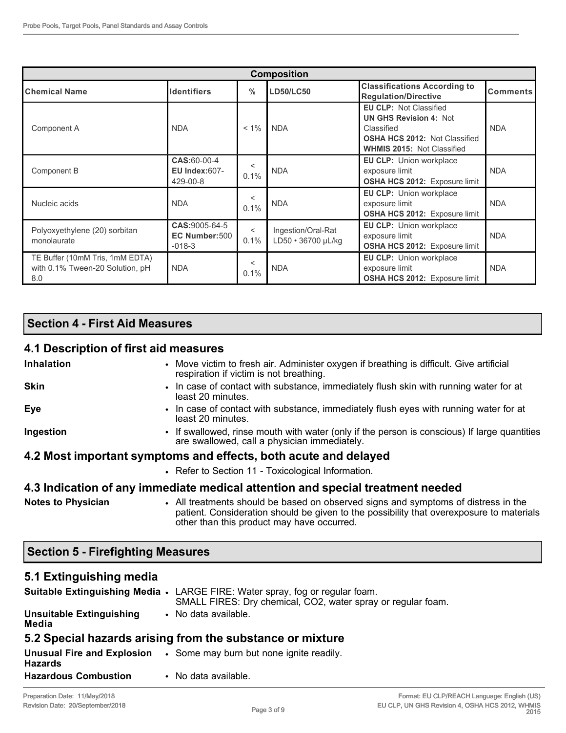| <b>Composition</b>                                                        |                                                 |                 |                                          |                                                                                                                                                           |                 |  |  |
|---------------------------------------------------------------------------|-------------------------------------------------|-----------------|------------------------------------------|-----------------------------------------------------------------------------------------------------------------------------------------------------------|-----------------|--|--|
| <b>Chemical Name</b>                                                      | <b>Identifiers</b>                              | $\frac{0}{0}$   | <b>LD50/LC50</b>                         | <b>Classifications According to</b><br><b>Regulation/Directive</b>                                                                                        | <b>Comments</b> |  |  |
| Component A                                                               | <b>NDA</b>                                      | $< 1\%$         | <b>NDA</b>                               | <b>EU CLP: Not Classified</b><br><b>UN GHS Revision 4: Not</b><br>Classified<br><b>OSHA HCS 2012: Not Classified</b><br><b>WHMIS 2015: Not Classified</b> | <b>NDA</b>      |  |  |
| Component B                                                               | CAS:60-00-4<br><b>EU Index:607-</b><br>429-00-8 | $\,<\,$<br>0.1% | <b>NDA</b>                               | <b>EU CLP:</b> Union workplace<br>exposure limit<br>OSHA HCS 2012: Exposure limit                                                                         | <b>NDA</b>      |  |  |
| Nucleic acids                                                             | <b>NDA</b>                                      | $\,<\,$<br>0.1% | <b>NDA</b>                               | <b>EU CLP:</b> Union workplace<br>exposure limit<br><b>OSHA HCS 2012: Exposure limit</b>                                                                  | <b>NDA</b>      |  |  |
| Polyoxyethylene (20) sorbitan<br>monolaurate                              | CAS: 9005-64-5<br>EC Number:500<br>$-018-3$     | $\,<\,$<br>0.1% | Ingestion/Oral-Rat<br>LD50 · 36700 µL/kg | EU CLP: Union workplace<br>exposure limit<br><b>OSHA HCS 2012:</b> Exposure limit                                                                         | <b>NDA</b>      |  |  |
| TE Buffer (10mM Tris, 1mM EDTA)<br>with 0.1% Tween-20 Solution, pH<br>8.0 | <b>NDA</b>                                      | <<br>0.1%       | <b>NDA</b>                               | <b>EU CLP:</b> Union workplace<br>exposure limit<br><b>OSHA HCS 2012: Exposure limit</b>                                                                  | <b>NDA</b>      |  |  |

# **Section 4 - First Aid Measures**

### **4.1 Description of first aid measures**

| <b>Inhalation</b>         | • Move victim to fresh air. Administer oxygen if breathing is difficult. Give artificial<br>respiration if victim is not breathing.          |
|---------------------------|----------------------------------------------------------------------------------------------------------------------------------------------|
| <b>Skin</b>               | • In case of contact with substance, immediately flush skin with running water for at<br>least 20 minutes.                                   |
| Eye                       | • In case of contact with substance, immediately flush eyes with running water for at<br>least 20 minutes.                                   |
| Ingestion                 | • If swallowed, rinse mouth with water (only if the person is conscious) If large quantities<br>are swallowed, call a physician immediately. |
|                           | 4.2 Most important symptoms and effects, both acute and delayed                                                                              |
|                           | • Refer to Section 11 - Toxicological Information.                                                                                           |
|                           | 4.3 Indication of any immediate medical attention and special treatment needed                                                               |
| <b>Notes to Physician</b> | • All treatments should be based on observed signs and symptoms of distress in the                                                           |

patient. Consideration should be given to the possibility that overexposure to materials other than this product may have occurred.

## **Section 5 - Firefighting Measures**

## **5.1 Extinguishing media**

|                                          | Suitable Extinguishing Media • LARGE FIRE: Water spray, fog or regular foam.<br>SMALL FIRES: Dry chemical, CO2, water spray or regular foam. |
|------------------------------------------|----------------------------------------------------------------------------------------------------------------------------------------------|
| <b>Unsuitable Extinguishing</b><br>Media | • No data available.                                                                                                                         |
|                                          | 5.2 Special hazards arising from the substance or mixture                                                                                    |
| <b>Hazards</b>                           | <b>Unusual Fire and Explosion</b> . Some may burn but none ignite readily.                                                                   |
| <b>Hazardous Combustion</b>              | • No data available.                                                                                                                         |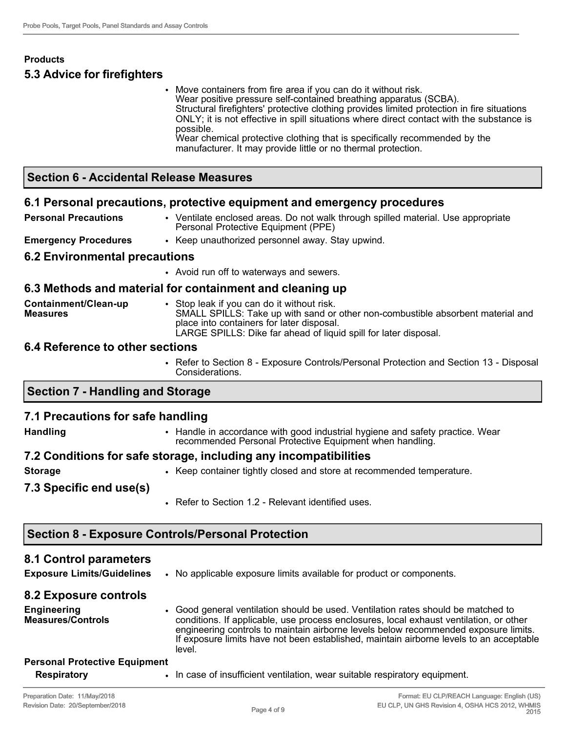# **Products 5.3 Advice for firefighters**

• Move containers from fire area if you can do it without risk. Wear positive pressure self-contained breathing apparatus (SCBA). Structural firefighters' protective clothing provides limited protection in fire situations ONLY; it is not effective in spill situations where direct contact with the substance is possible. Wear chemical protective clothing that is specifically recommended by the manufacturer. It may provide little or no thermal protection.

### **Section 6 - Accidental Release Measures**

#### **6.1 Personal precautions, protective equipment and emergency procedures**

**Personal Precautions** • Ventilate enclosed areas. Do not walk through spilled material. Use appropriate Personal Protective Equipment (PPE)

**Emergency Procedures** • Keep unauthorized personnel away. Stay upwind.

#### **6.2 Environmental precautions**

• Avoid run off to waterways and sewers.

#### **6.3 Methods and material for containment and cleaning up**

| Containment/Clean-up<br><b>Measures</b> | Stop leak if you can do it without risk.<br>SMALL SPILLS: Take up with sand or other non-combustible absorbent material and |
|-----------------------------------------|-----------------------------------------------------------------------------------------------------------------------------|
|                                         | place into containers for later disposal.                                                                                   |
|                                         | LARGE SPILLS: Dike far ahead of liquid spill for later disposal.                                                            |

#### **6.4 Reference to other sections**

• Refer to Section 8 - Exposure Controls/Personal Protection and Section 13 - Disposal Considerations.

#### **Section 7 - Handling and Storage**

#### **7.1 Precautions for safe handling**

- **Handling** Handle in accordance with good industrial hygiene and safety practice. Wear recommended Personal Protective Equipment when handling.
- **7.2 Conditions for safe storage, including any incompatibilities**
- **Storage •** Keep container tightly closed and store at recommended temperature.
- **7.3 Specific end use(s)**
- Refer to Section 1.2 Relevant identified uses.

#### **Section 8 - Exposure Controls/Personal Protection**

#### **8.1 Control parameters**

**Exposure Limits/Guidelines** • No applicable exposure limits available for product or components.

#### **8.2 Exposure controls**

**Engineering Measures/Controls** • Good general ventilation should be used. Ventilation rates should be matched to conditions. If applicable, use process enclosures, local exhaust ventilation, or other engineering controls to maintain airborne levels below recommended exposure limits. If exposure limits have not been established, maintain airborne levels to an acceptable level.

# **Personal Protective Equipment**

**Respiratory • In case of insufficient ventilation, wear suitable respiratory equipment.**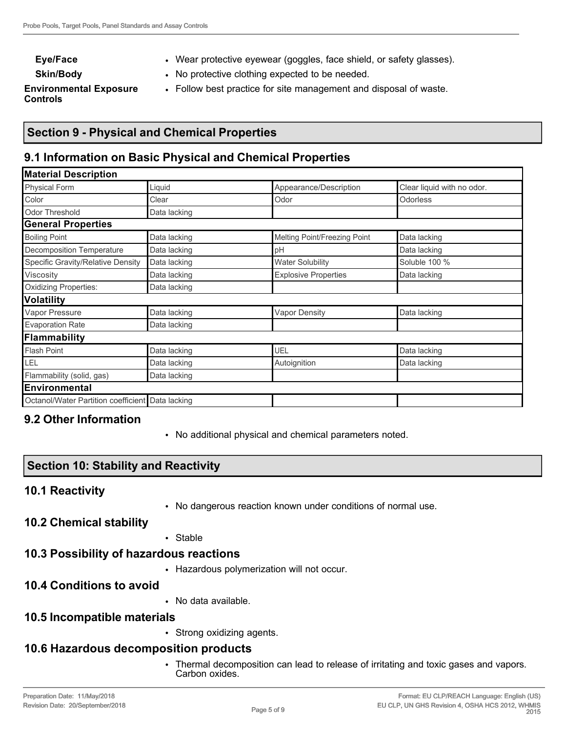- **Eye/Face •** Wear protective eyewear (goggles, face shield, or safety glasses).
- **Skin/Body** No protective clothing expected to be needed.
	-

**Environmental Exposure Controls**

• Follow best practice for site management and disposal of waste.

# **Section 9 - Physical and Chemical Properties**

## **9.1 Information on Basic Physical and Chemical Properties**

| <b>Material Description</b>                      |              |                              |                            |  |  |  |
|--------------------------------------------------|--------------|------------------------------|----------------------------|--|--|--|
| <b>Physical Form</b>                             | Liquid       | Appearance/Description       | Clear liquid with no odor. |  |  |  |
| Color                                            | Clear        | Odor                         | Odorless                   |  |  |  |
| <b>Odor Threshold</b>                            | Data lacking |                              |                            |  |  |  |
| <b>General Properties</b>                        |              |                              |                            |  |  |  |
| <b>Boiling Point</b>                             | Data lacking | Melting Point/Freezing Point | Data lacking               |  |  |  |
| Decomposition Temperature                        | Data lacking | pH                           | Data lacking               |  |  |  |
| Specific Gravity/Relative Density                | Data lacking | <b>Water Solubility</b>      | Soluble 100 %              |  |  |  |
| Viscosity                                        | Data lacking | <b>Explosive Properties</b>  | Data lacking               |  |  |  |
| Oxidizing Properties:                            | Data lacking |                              |                            |  |  |  |
| <b>Volatility</b>                                |              |                              |                            |  |  |  |
| Vapor Pressure                                   | Data lacking | <b>Vapor Density</b>         | Data lacking               |  |  |  |
| <b>Evaporation Rate</b>                          | Data lacking |                              |                            |  |  |  |
| Flammability                                     |              |                              |                            |  |  |  |
| <b>Flash Point</b>                               | Data lacking | UEL                          | Data lacking               |  |  |  |
| LEL                                              | Data lacking | Autoignition                 | Data lacking               |  |  |  |
| Flammability (solid, gas)                        | Data lacking |                              |                            |  |  |  |
| Environmental                                    |              |                              |                            |  |  |  |
| Octanol/Water Partition coefficient Data lacking |              |                              |                            |  |  |  |

## **9.2 Other Information**

• No additional physical and chemical parameters noted.

## **Section 10: Stability and Reactivity**

#### **10.1 Reactivity**

• No dangerous reaction known under conditions of normal use.

#### **10.2 Chemical stability**

• Stable

## **10.3 Possibility of hazardous reactions**

• Hazardous polymerization will not occur.

## **10.4 Conditions to avoid**

• No data available.

## **10.5 Incompatible materials**

• Strong oxidizing agents.

# **10.6 Hazardous decomposition products**

• Thermal decomposition can lead to release of irritating and toxic gases and vapors. Carbon oxides.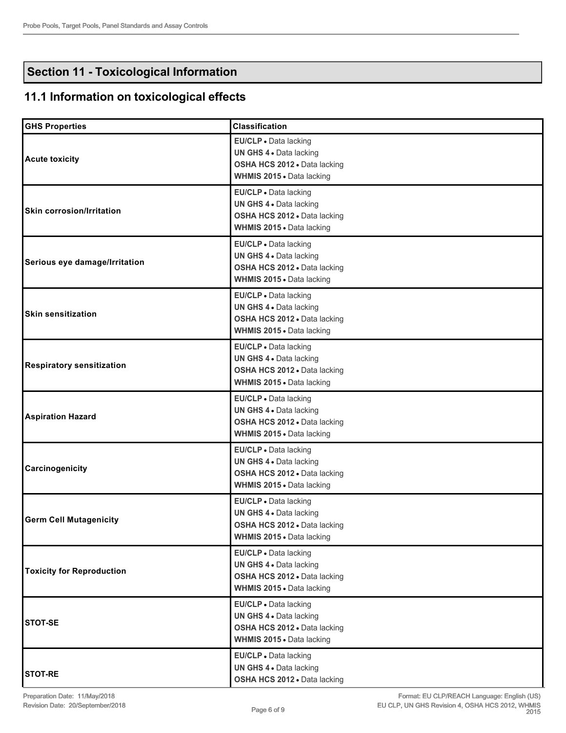# **Section 11 - Toxicological Information**

# **11.1 Information on toxicological effects**

| <b>GHS Properties</b>            | <b>Classification</b>                                                                                         |
|----------------------------------|---------------------------------------------------------------------------------------------------------------|
| <b>Acute toxicity</b>            | EU/CLP - Data lacking<br>UN GHS 4 . Data lacking<br>OSHA HCS 2012 . Data lacking<br>WHMIS 2015 . Data lacking |
| <b>Skin corrosion/Irritation</b> | EU/CLP · Data lacking<br>UN GHS 4 . Data lacking<br>OSHA HCS 2012 . Data lacking<br>WHMIS 2015 . Data lacking |
| Serious eye damage/Irritation    | EU/CLP · Data lacking<br>UN GHS 4 . Data lacking<br>OSHA HCS 2012 · Data lacking<br>WHMIS 2015 . Data lacking |
| <b>Skin sensitization</b>        | EU/CLP · Data lacking<br>UN GHS 4 . Data lacking<br>OSHA HCS 2012 . Data lacking<br>WHMIS 2015 . Data lacking |
| <b>Respiratory sensitization</b> | EU/CLP · Data lacking<br>UN GHS 4 . Data lacking<br>OSHA HCS 2012 · Data lacking<br>WHMIS 2015 . Data lacking |
| <b>Aspiration Hazard</b>         | EU/CLP · Data lacking<br>UN GHS 4 . Data lacking<br>OSHA HCS 2012 · Data lacking<br>WHMIS 2015 . Data lacking |
| Carcinogenicity                  | EU/CLP · Data lacking<br>UN GHS 4 . Data lacking<br>OSHA HCS 2012 . Data lacking<br>WHMIS 2015 . Data lacking |
| <b>Germ Cell Mutagenicity</b>    | EU/CLP · Data lacking<br>UN GHS 4 . Data lacking<br>OSHA HCS 2012 . Data lacking<br>WHMIS 2015 . Data lacking |
| <b>Toxicity for Reproduction</b> | EU/CLP · Data lacking<br>UN GHS 4 . Data lacking<br>OSHA HCS 2012 . Data lacking<br>WHMIS 2015 . Data lacking |
| <b>STOT-SE</b>                   | EU/CLP · Data lacking<br>UN GHS 4 . Data lacking<br>OSHA HCS 2012 . Data lacking<br>WHMIS 2015 . Data lacking |
| <b>STOT-RE</b>                   | EU/CLP · Data lacking<br>UN GHS 4 . Data lacking<br>OSHA HCS 2012 . Data lacking                              |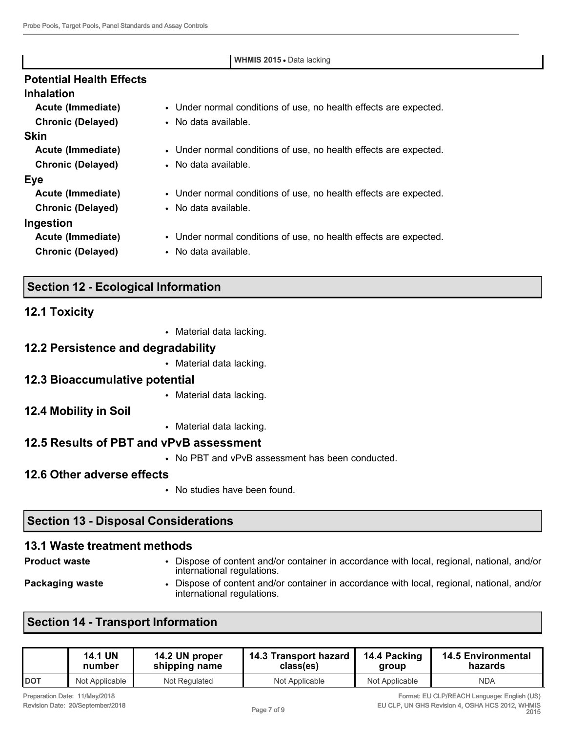| <b>WHMIS 2015 • Data lacking</b> |                                                                   |  |  |  |
|----------------------------------|-------------------------------------------------------------------|--|--|--|
| <b>Potential Health Effects</b>  |                                                                   |  |  |  |
| <b>Inhalation</b>                |                                                                   |  |  |  |
| Acute (Immediate)                | • Under normal conditions of use, no health effects are expected. |  |  |  |
| <b>Chronic (Delayed)</b>         | • No data available.                                              |  |  |  |
| <b>Skin</b>                      |                                                                   |  |  |  |
| Acute (Immediate)                | • Under normal conditions of use, no health effects are expected. |  |  |  |
| <b>Chronic (Delayed)</b>         | • No data available.                                              |  |  |  |
| <b>Eye</b>                       |                                                                   |  |  |  |
| Acute (Immediate)                | • Under normal conditions of use, no health effects are expected. |  |  |  |
| <b>Chronic (Delayed)</b>         | • No data available.                                              |  |  |  |
| Ingestion                        |                                                                   |  |  |  |
| Acute (Immediate)                | • Under normal conditions of use, no health effects are expected. |  |  |  |
| <b>Chronic (Delayed)</b>         | • No data available.                                              |  |  |  |

# **Section 12 - Ecological Information**

|  | <b>12.1 Toxicity</b> |  |
|--|----------------------|--|
|--|----------------------|--|

• Material data lacking.

### **12.2 Persistence and degradability**

• Material data lacking.

#### **12.3 Bioaccumulative potential**

• Material data lacking.

## **12.4 Mobility in Soil**

• Material data lacking.

# **12.5 Results of PBT and vPvB assessment**

• No PBT and vPvB assessment has been conducted.

# **12.6 Other adverse effects**

• No studies have been found.

international regulations.

# **Section 13 - Disposal Considerations**

# **13.1 Waste treatment methods**

**Product waste** • Dispose of content and/or container in accordance with local, regional, national, and/or international regulations.

- 
- **Packaging waste Dispose of content and/or container in accordance with local, regional, national, and/or content**

# **Section 14 - Transport Information**

|            | <b>14.1 UN</b> | 14.2 UN proper | 14.3 Transport hazard | 14.4 Packing   | <b>14.5 Environmental</b> |
|------------|----------------|----------------|-----------------------|----------------|---------------------------|
|            | number         | shipping name  | class(es)             | aroup          | hazards                   |
| <b>DOT</b> | Not Applicable | Not Regulated  | Not Applicable        | Not Applicable | <b>NDA</b>                |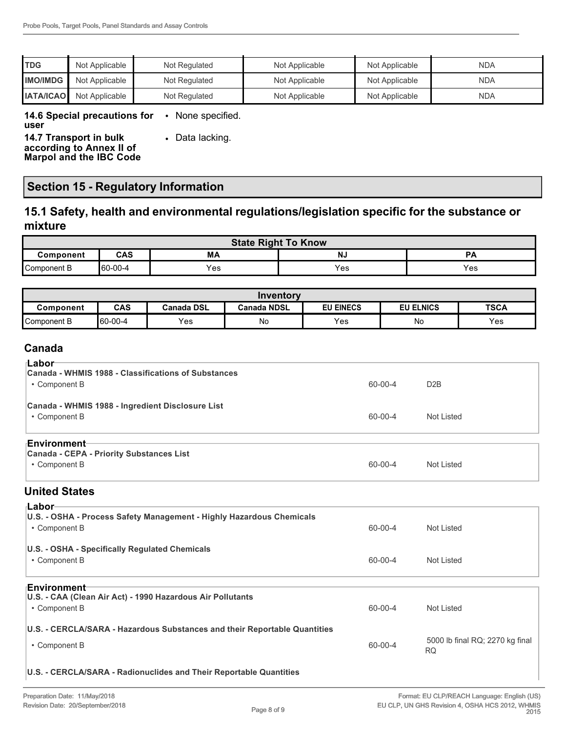| <b>TDG</b>       | Not Applicable | Not Regulated | Not Applicable | Not Applicable | <b>NDA</b> |
|------------------|----------------|---------------|----------------|----------------|------------|
| <b>IIMO/IMDG</b> | Not Applicable | Not Regulated | Not Applicable | Not Applicable | <b>NDA</b> |
| <b>IATA/ICAO</b> | Not Applicable | Not Regulated | Not Applicable | Not Applicable | <b>NDA</b> |

#### **14.6 Special precautions for**  • None specified.

**user**

**14.7 Transport in bulk** 

**according to Annex II of Marpol and the IBC Code** • Data lacking.

# **Section 15 - Regulatory Information**

## **15.1 Safety, health and environmental regulations/legislation specific for the substance or mixture**

|             |         |     | <b>State Right To Know</b> |                            |
|-------------|---------|-----|----------------------------|----------------------------|
| Component   | CAS     | МA  | <b>NJ</b>                  | <b>PA</b>                  |
| Component B | 60-00-4 | ⊻es | Yes                        | $\mathsf{v}_{\mathsf{es}}$ |

|             |                |                   | Inventory          |                  |                  |             |
|-------------|----------------|-------------------|--------------------|------------------|------------------|-------------|
| Component   | <b>CAS</b>     | <b>Canada DSL</b> | <b>Canada NDSL</b> | <b>EU EINECS</b> | <b>EU ELNICS</b> | <b>TSCA</b> |
| Component B | $160 - 00 - 4$ | Yes               | No                 | Yes              | No               | Yes         |

### **Canada**

| ⊺Labor                                                               |         |                  |
|----------------------------------------------------------------------|---------|------------------|
| Canada - WHMIS 1988 - Classifications of Substances                  |         |                  |
|                                                                      |         |                  |
| • Component B                                                        | 60-00-4 | D <sub>2</sub> B |
| Canada - WHMIS 1988 - Ingredient Disclosure List                     |         |                  |
| • Component B                                                        | 60-00-4 | Not Listed       |
|                                                                      |         |                  |
| ⊦Environment                                                         |         |                  |
| <b>Canada - CEPA - Priority Substances List</b>                      |         |                  |
|                                                                      |         |                  |
| • Component B                                                        | 60-00-4 | Not Listed       |
| <b>United States</b>                                                 |         |                  |
| ⊦Labor                                                               |         |                  |
| U.S. - OSHA - Process Safety Management - Highly Hazardous Chemicals |         |                  |
| • Component B                                                        | 60-00-4 | Not Listed       |
|                                                                      |         |                  |
| U.S. - OSHA - Specifically Regulated Chemicals                       |         |                  |
| • Component B                                                        | 60-00-4 | Not Listed       |
|                                                                      |         |                  |

#### **Environment**

| ▐▙▎▎▘▎▎ <b>◡▏▎▎▎</b> ▏▎<br>U.S. - CAA (Clean Air Act) - 1990 Hazardous Air Pollutants<br>• Component B | 60-00-4 | Not Listed                            |
|--------------------------------------------------------------------------------------------------------|---------|---------------------------------------|
| U.S. - CERCLA/SARA - Hazardous Substances and their Reportable Quantities<br>• Component B             | 60-00-4 | 5000 lb final RQ; 2270 kg final<br>RQ |

#### **U.S. - CERCLA/SARA - Radionuclides and Their Reportable Quantities**